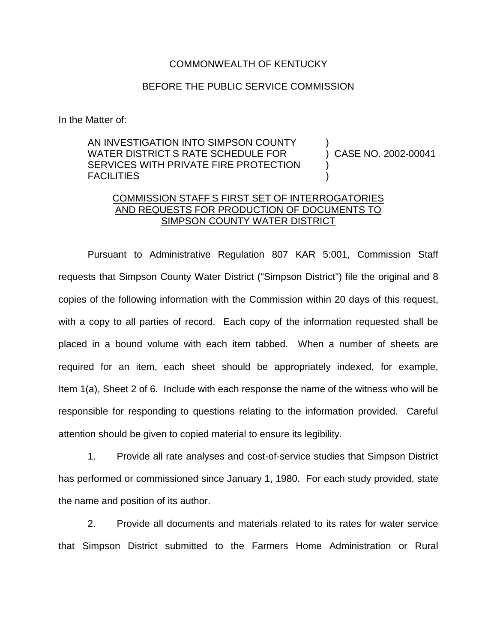## COMMONWEALTH OF KENTUCKY

## BEFORE THE PUBLIC SERVICE COMMISSION

In the Matter of:

AN INVESTIGATION INTO SIMPSON COUNTY WATER DISTRICT S RATE SCHEDULE FOR SERVICES WITH PRIVATE FIRE PROTECTION FACILITIES

) CASE NO. 2002-00041

)

) )

## COMMISSION STAFF S FIRST SET OF INTERROGATORIES AND REQUESTS FOR PRODUCTION OF DOCUMENTS TO SIMPSON COUNTY WATER DISTRICT

Pursuant to Administrative Regulation 807 KAR 5:001, Commission Staff requests that Simpson County Water District ("Simpson District") file the original and 8 copies of the following information with the Commission within 20 days of this request, with a copy to all parties of record. Each copy of the information requested shall be placed in a bound volume with each item tabbed. When a number of sheets are required for an item, each sheet should be appropriately indexed, for example, Item 1(a), Sheet 2 of 6. Include with each response the name of the witness who will be responsible for responding to questions relating to the information provided. Careful attention should be given to copied material to ensure its legibility.

1. Provide all rate analyses and cost-of-service studies that Simpson District has performed or commissioned since January 1, 1980. For each study provided, state the name and position of its author.

2. Provide all documents and materials related to its rates for water service that Simpson District submitted to the Farmers Home Administration or Rural